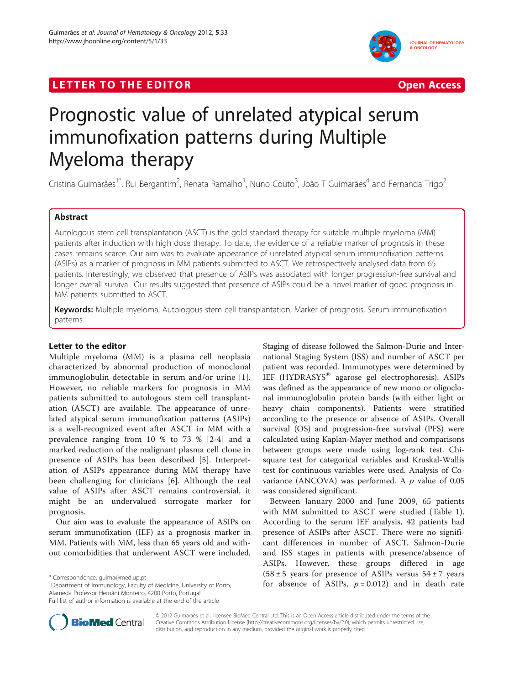## **LETTER TO THE EDITOR CONSIDERATION CONSIDERING ACCESS**



# Prognostic value of unrelated atypical serum immunofixation patterns during Multiple Myeloma therapy

Cristina Guimarães<sup>1\*</sup>, Rui Bergantim<sup>2</sup>, Renata Ramalho<sup>1</sup>, Nuno Couto<sup>3</sup>, João T Guimarães<sup>4</sup> and Fernanda Trigo<sup>2</sup>

## Abstract

Autologous stem cell transplantation (ASCT) is the gold standard therapy for suitable multiple myeloma (MM) patients after induction with high dose therapy. To date, the evidence of a reliable marker of prognosis in these cases remains scarce. Our aim was to evaluate appearance of unrelated atypical serum immunofixation patterns (ASIPs) as a marker of prognosis in MM patients submitted to ASCT. We retrospectively analysed data from 65 patients. Interestingly, we observed that presence of ASIPs was associated with longer progression-free survival and longer overall survival. Our results suggested that presence of ASIPs could be a novel marker of good prognosis in MM patients submitted to ASCT.

Keywords: Multiple myeloma, Autologous stem cell transplantation, Marker of prognosis, Serum immunofixation patterns

## Letter to the editor

Multiple myeloma (MM) is a plasma cell neoplasia characterized by abnormal production of monoclonal immunoglobulin detectable in serum and/or urine [[1](#page-2-0)]. However, no reliable markers for prognosis in MM patients submitted to autologous stem cell transplantation (ASCT) are available. The appearance of unrelated atypical serum immunofixation patterns (ASIPs) is a well-recognized event after ASCT in MM with a prevalence ranging from 10 % to 73 % [[2-4\]](#page-2-0) and a marked reduction of the malignant plasma cell clone in presence of ASIPs has been described [[5](#page-2-0)]. Interpretation of ASIPs appearance during MM therapy have been challenging for clinicians [[6\]](#page-2-0). Although the real value of ASIPs after ASCT remains controversial, it might be an undervalued surrogate marker for prognosis.

Our aim was to evaluate the appearance of ASIPs on serum immunofixation (IEF) as a prognosis marker in MM. Patients with MM, less than 65 years old and without comorbidities that underwent ASCT were included.

<sup>1</sup>Department of Immunology, Faculty of Medicine, University of Porto, Alameda Professor Hernâni Monteiro, 4200 Porto, Portugal

Staging of disease followed the Salmon-Durie and International Staging System (ISS) and number of ASCT per patient was recorded. Immunotypes were determined by IEF (HYDRASYS® agarose gel electrophoresis). ASIPs was defined as the appearance of new mono or oligoclonal immunoglobulin protein bands (with either light or heavy chain components). Patients were stratified according to the presence or absence of ASIPs. Overall survival (OS) and progression-free survival (PFS) were calculated using Kaplan-Mayer method and comparisons between groups were made using log-rank test. Chisquare test for categorical variables and Kruskal-Wallis test for continuous variables were used. Analysis of Covariance (ANCOVA) was performed. A  $p$  value of 0.05 was considered significant.

Between January 2000 and June 2009, 65 patients with MM submitted to ASCT were studied (Table [1](#page-1-0)). According to the serum IEF analysis, 42 patients had presence of ASIPs after ASCT. There were no significant differences in number of ASCT, Salmon-Durie and ISS stages in patients with presence/absence of ASIPs. However, these groups differed in age  $(58 \pm 5)$  years for presence of ASIPs versus  $54 \pm 7$  years For absence of ASIPs, p = 0.012) and in death rate \*  $\frac{1}{10}$  begat the of ASIPs, p = 0.012) and in death rate  $\frac{1}{10}$  and in death rate  $\frac{1}{10}$  and in death rate  $\frac{1}{10}$ 



© 2012 Guimaraes et al.; licensee BioMed Central Ltd. This is an Open Access article distributed under the terms of the Creative Commons Attribution License (<http://creativecommons.org/licenses/by/2.0>), which permits unrestricted use, distribution, and reproduction in any medium, provided the original work is properly cited.

Full list of author information is available at the end of the article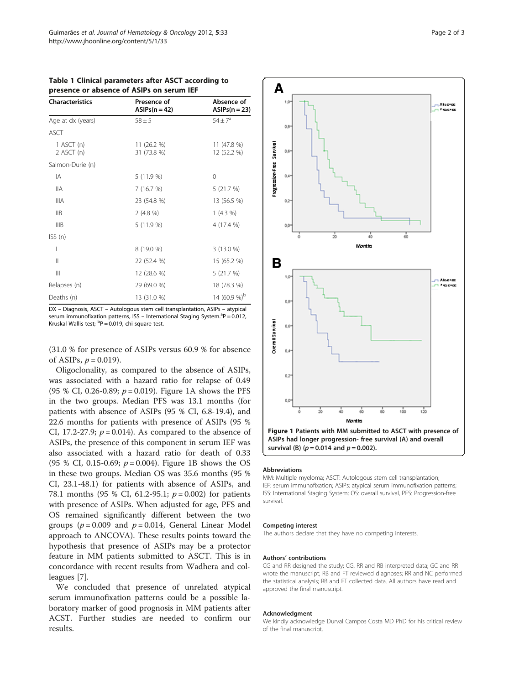| <b>Characteristics</b>       | Presence of<br>$ASIPs(n=42)$ | Absence of<br>$ASIPs(n=23)$ |
|------------------------------|------------------------------|-----------------------------|
| Age at dx (years)            | $58 + 5$                     | $54 \pm 7^a$                |
| <b>ASCT</b>                  |                              |                             |
| 1 ASCT $(n)$<br>$2$ ASCT (n) | 11 (26.2 %)<br>31 (73.8 %)   | 11 (47.8 %)<br>12 (52.2 %)  |
| Salmon-Durie (n)             |                              |                             |
| ΙA                           | 5 (11.9 %)                   | $\Omega$                    |
| <b>IIA</b>                   | 7(16.7%)                     | 5(21.7%)                    |
| <b>IIIA</b>                  | 23 (54.8 %)                  | 13 (56.5 %)                 |
| <b>IIB</b>                   | 2(4.8%)                      | 1(4.3%)                     |
| IIIB                         | 5 (11.9 %)                   | 4 (17.4 %)                  |
| ISS(n)                       |                              |                             |
| I                            | 8 (19.0 %)                   | $3(13.0\%)$                 |
| $\mathbf{I}$                 | 22 (52.4 %)                  | 15 (65.2 %)                 |
| Ш                            | 12 (28.6 %)                  | 5 (21.7 %)                  |
| Relapses (n)                 | 29 (69.0 %)                  | 18 (78.3 %)                 |
| Deaths (n)                   | 13 (31.0 %)                  | 14 (60.9 %) <sup>b</sup>    |

<span id="page-1-0"></span>Table 1 Clinical parameters after ASCT according to presence or absence of ASIPs on serum IEF

DX – Diagnosis, ASCT – Autologous stem cell transplantation, ASIPs – atypical serum immunofixation patterns, ISS – International Staging System.<sup>a</sup>P = 0.012, Kruskal-Wallis test; <sup>b</sup>P = 0.019, chi-square test.

(31.0 % for presence of ASIPs versus 60.9 % for absence of ASIPs,  $p = 0.019$ .

Oligoclonality, as compared to the absence of ASIPs, was associated with a hazard ratio for relapse of 0.49 (95 % CI, 0.26-0.89;  $p = 0.019$ ). Figure 1A shows the PFS in the two groups. Median PFS was 13.1 months (for patients with absence of ASIPs (95 % CI, 6.8-19.4), and 22.6 months for patients with presence of ASIPs (95 % CI, 17.2-27.9;  $p = 0.014$ ). As compared to the absence of ASIPs, the presence of this component in serum IEF was also associated with a hazard ratio for death of 0.33 (95 % CI, 0.15-0.69;  $p = 0.004$ ). Figure 1B shows the OS in these two groups. Median OS was 35.6 months (95 % CI, 23.1-48.1) for patients with absence of ASIPs, and 78.1 months (95 % CI, 61.2-95.1;  $p = 0.002$ ) for patients with presence of ASIPs. When adjusted for age, PFS and OS remained significantly different between the two groups ( $p = 0.009$  and  $p = 0.014$ , General Linear Model approach to ANCOVA). These results points toward the hypothesis that presence of ASIPs may be a protector feature in MM patients submitted to ASCT. This is in concordance with recent results from Wadhera and colleagues [\[7](#page-2-0)].

We concluded that presence of unrelated atypical serum immunofixation patterns could be a possible laboratory marker of good prognosis in MM patients after ACST. Further studies are needed to confirm our results.



survival (B) ( $p = 0.014$  and  $p = 0.002$ ).

#### Abbreviations

MM: Multiple myeloma; ASCT: Autologous stem cell transplantation; IEF: serum immunofixation; ASIPs: atypical serum immunofixation patterns; ISS: International Staging System; OS: overall survival, PFS: Progression-free survival.

#### Competing interest

The authors declare that they have no competing interests.

#### Authors' contributions

CG and RR designed the study; CG, RR and RB interpreted data; GC and RR wrote the manuscript; RB and FT reviewed diagnoses; RR and NC performed the statistical analysis; RB and FT collected data. All authors have read and approved the final manuscript.

#### Acknowledgment

We kindly acknowledge Durval Campos Costa MD PhD for his critical review of the final manuscript.